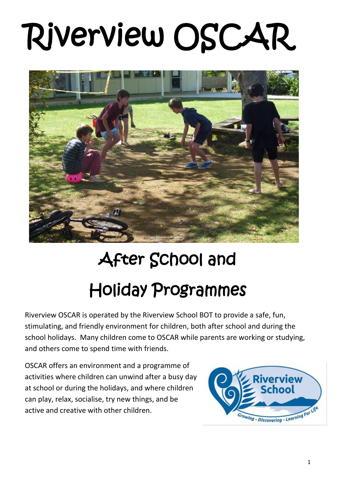# Riverview OSCAR



## After School and Holiday Programmes

Riverview OSCAR is operated by the Riverview School BOT to provide a safe, fun, stimulating, and friendly environment for children, both after school and during the school holidays. Many children come to OSCAR while parents are working or studying, and others come to spend time with friends.

OSCAR offers an environment and a programme of activities where children can unwind after a busy day at school or during the holidays, and where children can play, relax, socialise, try new things, and be active and creative with other children.

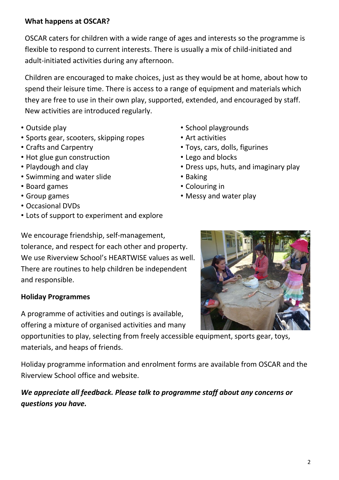### **What happens at OSCAR?**

OSCAR caters for children with a wide range of ages and interests so the programme is flexible to respond to current interests. There is usually a mix of child-initiated and adult-initiated activities during any afternoon.

Children are encouraged to make choices, just as they would be at home, about how to spend their leisure time. There is access to a range of equipment and materials which they are free to use in their own play, supported, extended, and encouraged by staff. New activities are introduced regularly.

- 
- Sports gear, scooters, skipping ropes Art activities
- 
- Hot glue gun construction Lego and blocks
- 
- Swimming and water slide **Baking**
- Board games Colouring in
- 
- Occasional DVDs
- Lots of support to experiment and explore
- Outside play **•** School playgrounds
	-
- Crafts and Carpentry  **Toys, cars, dolls, figurines** 
	-
- Playdough and clay  **Dress ups, huts, and imaginary play** 
	-
	-
- Group games Messy and water play

We encourage friendship, self-management, tolerance, and respect for each other and property. We use Riverview School's HEARTWISE values as well. There are routines to help children be independent and responsible.

### **Holiday Programmes**

A programme of activities and outings is available, offering a mixture of organised activities and many

opportunities to play, selecting from freely accessible equipment, sports gear, toys, materials, and heaps of friends.

Holiday programme information and enrolment forms are available from OSCAR and the Riverview School office and website.

*We appreciate all feedback. Please talk to programme staff about any concerns or questions you have.*

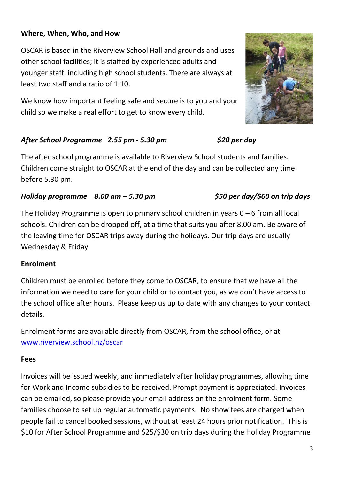### **Where, When, Who, and How**

OSCAR is based in the Riverview School Hall and grounds and uses other school facilities; it is staffed by experienced adults and younger staff, including high school students. There are always at least two staff and a ratio of 1:10.

We know how important feeling safe and secure is to you and your child so we make a real effort to get to know every child.

### *After School Programme 2.55 pm - 5.30 pm \$20 per day*

The after school programme is available to Riverview School students and families. Children come straight to OSCAR at the end of the day and can be collected any time before 5.30 pm.

### *Holiday programme 8.00 am – 5.30 pm \$50 per day/\$60 on trip days*

The Holiday Programme is open to primary school children in years  $0 - 6$  from all local schools. Children can be dropped off, at a time that suits you after 8.00 am. Be aware of the leaving time for OSCAR trips away during the holidays. Our trip days are usually Wednesday & Friday.

### **Enrolment**

Children must be enrolled before they come to OSCAR, to ensure that we have all the information we need to care for your child or to contact you, as we don't have access to the school office after hours. Please keep us up to date with any changes to your contact details.

Enrolment forms are available directly from OSCAR, from the school office, or at [www.riverview.school.nz/oscar](http://www.riverview.school.nz/oscar.html)

### **Fees**

Invoices will be issued weekly, and immediately after holiday programmes, allowing time for Work and Income subsidies to be received. Prompt payment is appreciated. Invoices can be emailed, so please provide your email address on the enrolment form. Some families choose to set up regular automatic payments. No show fees are charged when people fail to cancel booked sessions, without at least 24 hours prior notification. This is \$10 for After School Programme and \$25/\$30 on trip days during the Holiday Programme